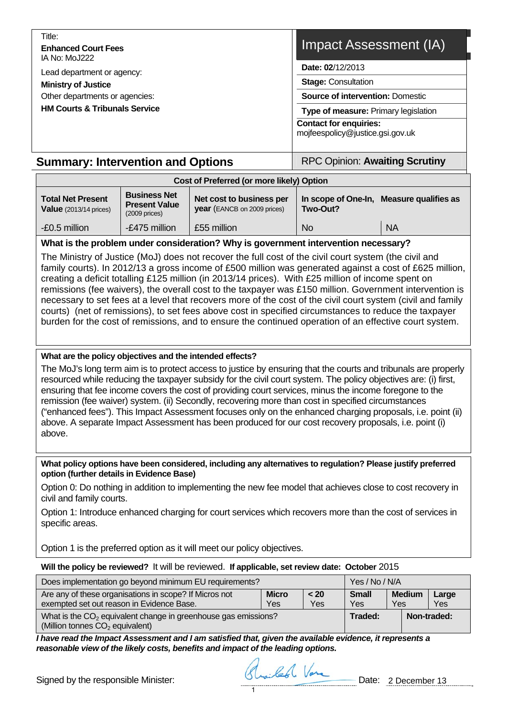| Title:<br><b>Enhanced Court Fees</b><br>IA No: MoJ222                                                                                  | Impact Assessment (IA)                                                                                                                                                                                 |
|----------------------------------------------------------------------------------------------------------------------------------------|--------------------------------------------------------------------------------------------------------------------------------------------------------------------------------------------------------|
| Lead department or agency:<br><b>Ministry of Justice</b><br>Other departments or agencies:<br><b>HM Courts &amp; Tribunals Service</b> | Date: 02/12/2013<br><b>Stage: Consultation</b><br><b>Source of intervention: Domestic</b><br>Type of measure: Primary legislation<br><b>Contact for enquiries:</b><br>mojfeespolicy@justice.gsi.gov.uk |
| <b>Summary: Intervention and Options</b>                                                                                               | <b>RPC Opinion: Awaiting Scrutiny</b>                                                                                                                                                                  |

| Cost of Preferred (or more likely) Option                           |                                                                 |                                                         |           |                                          |  |  |  |  |
|---------------------------------------------------------------------|-----------------------------------------------------------------|---------------------------------------------------------|-----------|------------------------------------------|--|--|--|--|
| <b>Total Net Present</b><br><b>Value</b> $(2013/14 \text{ prices})$ | <b>Business Net</b><br><b>Present Value</b><br>$(2009)$ prices) | Net cost to business per<br>year (EANCB on 2009 prices) | Two-Out?  | In scope of One-In, Measure qualifies as |  |  |  |  |
|                                                                     |                                                                 |                                                         |           |                                          |  |  |  |  |
| -£0.5 million                                                       | -£475 million                                                   | £55 million                                             | <b>No</b> | <b>NA</b>                                |  |  |  |  |

## **What is the problem under consideration? Why is government intervention necessary?**

The Ministry of Justice (MoJ) does not recover the full cost of the civil court system (the civil and family courts). In 2012/13 a gross income of £500 million was generated against a cost of £625 million, creating a deficit totalling £125 million (in 2013/14 prices). With £25 million of income spent on remissions (fee waivers), the overall cost to the taxpayer was £150 million. Government intervention is necessary to set fees at a level that recovers more of the cost of the civil court system (civil and family courts) (net of remissions), to set fees above cost in specified circumstances to reduce the taxpayer burden for the cost of remissions, and to ensure the continued operation of an effective court system.

## **What are the policy objectives and the intended effects?**

The MoJ's long term aim is to protect access to justice by ensuring that the courts and tribunals are properly resourced while reducing the taxpayer subsidy for the civil court system. The policy objectives are: (i) first, ensuring that fee income covers the cost of providing court services, minus the income foregone to the remission (fee waiver) system. (ii) Secondly, recovering more than cost in specified circumstances ("enhanced fees"). This Impact Assessment focuses only on the enhanced charging proposals, i.e. point (ii) above. A separate Impact Assessment has been produced for our cost recovery proposals, i.e. point (i) above.

#### **What policy options have been considered, including any alternatives to regulation? Please justify preferred option (further details in Evidence Base)**

Option 0: Do nothing in addition to implementing the new fee model that achieves close to cost recovery in civil and family courts.

Option 1: Introduce enhanced charging for court services which recovers more than the cost of services in specific areas.

Option 1 is the preferred option as it will meet our policy objectives.

## **Will the policy be reviewed?** It will be reviewed. **If applicable, set review date: October** 2015

| Does implementation go beyond minimum EU requirements?                                                          | Yes / No / N/A      |             |                            |                      |              |
|-----------------------------------------------------------------------------------------------------------------|---------------------|-------------|----------------------------|----------------------|--------------|
| Are any of these organisations in scope? If Micros not<br>exempted set out reason in Evidence Base.             | <b>Micro</b><br>Yes | < 20<br>Yes | <b>Small</b><br><b>Yes</b> | <b>Medium</b><br>Yes | Large<br>Yes |
| What is the $CO2$ equivalent change in greenhouse gas emissions?<br>(Million tonnes CO <sub>2</sub> equivalent) |                     |             | Traded:                    | Non-traded:          |              |

*I have read the Impact Assessment and I am satisfied that, given the available evidence, it represents a reasonable view of the likely costs, benefits and impact of the leading options.* 

Signed by the responsible Minister: Straited Vare Date: 2 December 13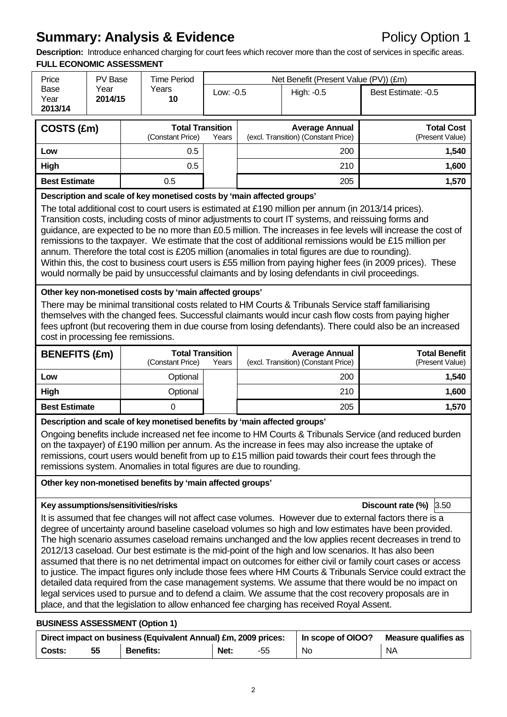## **Summary: Analysis & Evidence Policy Option 1**

**Description:** Introduce enhanced charging for court fees which recover more than the cost of services in specific areas. **FULL ECONOMIC ASSESSMENT** 

| <u>FULL EUUNUMIU AJJEJJIMEN I</u><br>Price                                                                                                                                                                                                                                                                                                                                                                                                                                                                                                                                                                                                                                                                                                                                                                                                | PV Base         |  | <b>Time Period</b>                                                                                                                                                                                            |           |                                                                                                      | Net Benefit (Present Value (PV)) (£m)                                                     |                                                                                                                                                                                                                                                                                                                                                                                                                                                                                                                                                                                                                                                                                                                                                                                                                                                                                   |  |
|-------------------------------------------------------------------------------------------------------------------------------------------------------------------------------------------------------------------------------------------------------------------------------------------------------------------------------------------------------------------------------------------------------------------------------------------------------------------------------------------------------------------------------------------------------------------------------------------------------------------------------------------------------------------------------------------------------------------------------------------------------------------------------------------------------------------------------------------|-----------------|--|---------------------------------------------------------------------------------------------------------------------------------------------------------------------------------------------------------------|-----------|------------------------------------------------------------------------------------------------------|-------------------------------------------------------------------------------------------|-----------------------------------------------------------------------------------------------------------------------------------------------------------------------------------------------------------------------------------------------------------------------------------------------------------------------------------------------------------------------------------------------------------------------------------------------------------------------------------------------------------------------------------------------------------------------------------------------------------------------------------------------------------------------------------------------------------------------------------------------------------------------------------------------------------------------------------------------------------------------------------|--|
| Base<br>Year<br>2013/14                                                                                                                                                                                                                                                                                                                                                                                                                                                                                                                                                                                                                                                                                                                                                                                                                   | Year<br>2014/15 |  | Years<br>10                                                                                                                                                                                                   | Low: -0.5 |                                                                                                      | High: -0.5                                                                                | Best Estimate: -0.5                                                                                                                                                                                                                                                                                                                                                                                                                                                                                                                                                                                                                                                                                                                                                                                                                                                               |  |
| COSTS (£m)                                                                                                                                                                                                                                                                                                                                                                                                                                                                                                                                                                                                                                                                                                                                                                                                                                |                 |  | <b>Total Transition</b><br>(Constant Price)                                                                                                                                                                   | Years     | <b>Total Cost</b><br><b>Average Annual</b><br>(excl. Transition) (Constant Price)<br>(Present Value) |                                                                                           |                                                                                                                                                                                                                                                                                                                                                                                                                                                                                                                                                                                                                                                                                                                                                                                                                                                                                   |  |
| Low                                                                                                                                                                                                                                                                                                                                                                                                                                                                                                                                                                                                                                                                                                                                                                                                                                       |                 |  | 0.5                                                                                                                                                                                                           |           |                                                                                                      | 200                                                                                       | 1,540                                                                                                                                                                                                                                                                                                                                                                                                                                                                                                                                                                                                                                                                                                                                                                                                                                                                             |  |
| High                                                                                                                                                                                                                                                                                                                                                                                                                                                                                                                                                                                                                                                                                                                                                                                                                                      |                 |  | 0.5                                                                                                                                                                                                           |           |                                                                                                      | 210                                                                                       | 1,600                                                                                                                                                                                                                                                                                                                                                                                                                                                                                                                                                                                                                                                                                                                                                                                                                                                                             |  |
| <b>Best Estimate</b>                                                                                                                                                                                                                                                                                                                                                                                                                                                                                                                                                                                                                                                                                                                                                                                                                      |                 |  | 0.5                                                                                                                                                                                                           |           |                                                                                                      | 205                                                                                       | 1,570                                                                                                                                                                                                                                                                                                                                                                                                                                                                                                                                                                                                                                                                                                                                                                                                                                                                             |  |
| Description and scale of key monetised costs by 'main affected groups'<br>The total additional cost to court users is estimated at £190 million per annum (in 2013/14 prices).<br>Transition costs, including costs of minor adjustments to court IT systems, and reissuing forms and<br>guidance, are expected to be no more than £0.5 million. The increases in fee levels will increase the cost of<br>remissions to the taxpayer. We estimate that the cost of additional remissions would be £15 million per<br>annum. Therefore the total cost is £205 million (anomalies in total figures are due to rounding).<br>Within this, the cost to business court users is £55 million from paying higher fees (in 2009 prices). These<br>would normally be paid by unsuccessful claimants and by losing defendants in civil proceedings. |                 |  |                                                                                                                                                                                                               |           |                                                                                                      |                                                                                           |                                                                                                                                                                                                                                                                                                                                                                                                                                                                                                                                                                                                                                                                                                                                                                                                                                                                                   |  |
| Other key non-monetised costs by 'main affected groups'<br>There may be minimal transitional costs related to HM Courts & Tribunals Service staff familiarising<br>themselves with the changed fees. Successful claimants would incur cash flow costs from paying higher<br>fees upfront (but recovering them in due course from losing defendants). There could also be an increased<br>cost in processing fee remissions.                                                                                                                                                                                                                                                                                                                                                                                                               |                 |  |                                                                                                                                                                                                               |           |                                                                                                      |                                                                                           | <b>Total Benefit</b>                                                                                                                                                                                                                                                                                                                                                                                                                                                                                                                                                                                                                                                                                                                                                                                                                                                              |  |
| <b>BENEFITS (£m)</b>                                                                                                                                                                                                                                                                                                                                                                                                                                                                                                                                                                                                                                                                                                                                                                                                                      |                 |  | <b>Total Transition</b><br>(Constant Price)                                                                                                                                                                   | Years     |                                                                                                      | <b>Average Annual</b><br>(excl. Transition) (Constant Price)                              | (Present Value)                                                                                                                                                                                                                                                                                                                                                                                                                                                                                                                                                                                                                                                                                                                                                                                                                                                                   |  |
| Low                                                                                                                                                                                                                                                                                                                                                                                                                                                                                                                                                                                                                                                                                                                                                                                                                                       |                 |  | Optional                                                                                                                                                                                                      |           |                                                                                                      | 200                                                                                       | 1,540                                                                                                                                                                                                                                                                                                                                                                                                                                                                                                                                                                                                                                                                                                                                                                                                                                                                             |  |
| High                                                                                                                                                                                                                                                                                                                                                                                                                                                                                                                                                                                                                                                                                                                                                                                                                                      |                 |  | Optional                                                                                                                                                                                                      |           |                                                                                                      | 210                                                                                       | 1,600                                                                                                                                                                                                                                                                                                                                                                                                                                                                                                                                                                                                                                                                                                                                                                                                                                                                             |  |
| <b>Best Estimate</b>                                                                                                                                                                                                                                                                                                                                                                                                                                                                                                                                                                                                                                                                                                                                                                                                                      |                 |  | $\overline{0}$                                                                                                                                                                                                |           |                                                                                                      | 205                                                                                       | 1,570                                                                                                                                                                                                                                                                                                                                                                                                                                                                                                                                                                                                                                                                                                                                                                                                                                                                             |  |
|                                                                                                                                                                                                                                                                                                                                                                                                                                                                                                                                                                                                                                                                                                                                                                                                                                           |                 |  | Description and scale of key monetised benefits by 'main affected groups'<br>remissions system. Anomalies in total figures are due to rounding.<br>Other key non-monetised benefits by 'main affected groups' |           |                                                                                                      |                                                                                           | Ongoing benefits include increased net fee income to HM Courts & Tribunals Service (and reduced burden<br>on the taxpayer) of £190 million per annum. As the increase in fees may also increase the uptake of<br>remissions, court users would benefit from up to £15 million paid towards their court fees through the                                                                                                                                                                                                                                                                                                                                                                                                                                                                                                                                                           |  |
| Key assumptions/sensitivities/risks                                                                                                                                                                                                                                                                                                                                                                                                                                                                                                                                                                                                                                                                                                                                                                                                       |                 |  |                                                                                                                                                                                                               |           |                                                                                                      |                                                                                           | Discount rate $(\%)$ 3.50                                                                                                                                                                                                                                                                                                                                                                                                                                                                                                                                                                                                                                                                                                                                                                                                                                                         |  |
|                                                                                                                                                                                                                                                                                                                                                                                                                                                                                                                                                                                                                                                                                                                                                                                                                                           |                 |  |                                                                                                                                                                                                               |           |                                                                                                      | place, and that the legislation to allow enhanced fee charging has received Royal Assent. | It is assumed that fee changes will not affect case volumes. However due to external factors there is a<br>degree of uncertainty around baseline caseload volumes so high and low estimates have been provided.<br>The high scenario assumes caseload remains unchanged and the low applies recent decreases in trend to<br>2012/13 caseload. Our best estimate is the mid-point of the high and low scenarios. It has also been<br>assumed that there is no net detrimental impact on outcomes for either civil or family court cases or access<br>to justice. The impact figures only include those fees where HM Courts & Tribunals Service could extract the<br>detailed data required from the case management systems. We assume that there would be no impact on<br>legal services used to pursue and to defend a claim. We assume that the cost recovery proposals are in |  |
| <b>BUSINESS ASSESSMENT (Option 1)</b>                                                                                                                                                                                                                                                                                                                                                                                                                                                                                                                                                                                                                                                                                                                                                                                                     |                 |  |                                                                                                                                                                                                               |           |                                                                                                      |                                                                                           |                                                                                                                                                                                                                                                                                                                                                                                                                                                                                                                                                                                                                                                                                                                                                                                                                                                                                   |  |
|                                                                                                                                                                                                                                                                                                                                                                                                                                                                                                                                                                                                                                                                                                                                                                                                                                           |                 |  | Direct impact on business (Equivalent Annual) £m, 2009 prices:                                                                                                                                                |           |                                                                                                      | In scope of OIOO?                                                                         | <b>Measure qualifies as</b>                                                                                                                                                                                                                                                                                                                                                                                                                                                                                                                                                                                                                                                                                                                                                                                                                                                       |  |

**Costs: 55 Benefits: Net:** -55 No NA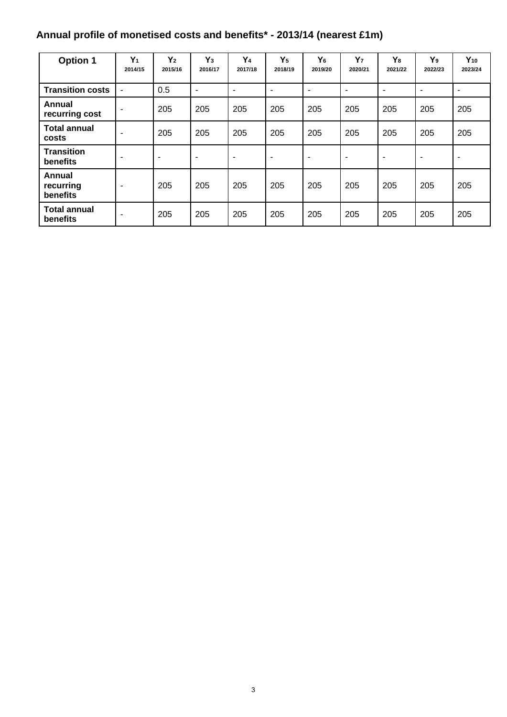# **Annual profile of monetised costs and benefits\* - 2013/14 (nearest £1m)**

| <b>Option 1</b>                 | $Y_1$<br>2014/15         | $Y_2$<br>2015/16 | $Y_3$<br>2016/17 | Y <sub>4</sub><br>2017/18 | $Y_5$<br>2018/19 | Y <sub>6</sub><br>2019/20 | $Y_7$<br>2020/21         | Y <sub>8</sub><br>2021/22 | Y <sub>9</sub><br>2022/23 | $Y_{10}$<br>2023/24      |
|---------------------------------|--------------------------|------------------|------------------|---------------------------|------------------|---------------------------|--------------------------|---------------------------|---------------------------|--------------------------|
| <b>Transition costs</b>         |                          | 0.5              | ٠                | ٠                         | ٠                | $\overline{\phantom{a}}$  | ۰                        | -                         | ٠                         | ٠                        |
| Annual<br>recurring cost        | ٠                        | 205              | 205              | 205                       | 205              | 205                       | 205                      | 205                       | 205                       | 205                      |
| <b>Total annual</b><br>costs    |                          | 205              | 205              | 205                       | 205              | 205                       | 205                      | 205                       | 205                       | 205                      |
| <b>Transition</b><br>benefits   |                          | ۰                |                  | ۰                         | ٠                | ٠                         | $\overline{\phantom{0}}$ | ۰                         | ۰                         | $\overline{\phantom{a}}$ |
| Annual<br>recurring<br>benefits | $\overline{\phantom{a}}$ | 205              | 205              | 205                       | 205              | 205                       | 205                      | 205                       | 205                       | 205                      |
| <b>Total annual</b><br>benefits | ۰                        | 205              | 205              | 205                       | 205              | 205                       | 205                      | 205                       | 205                       | 205                      |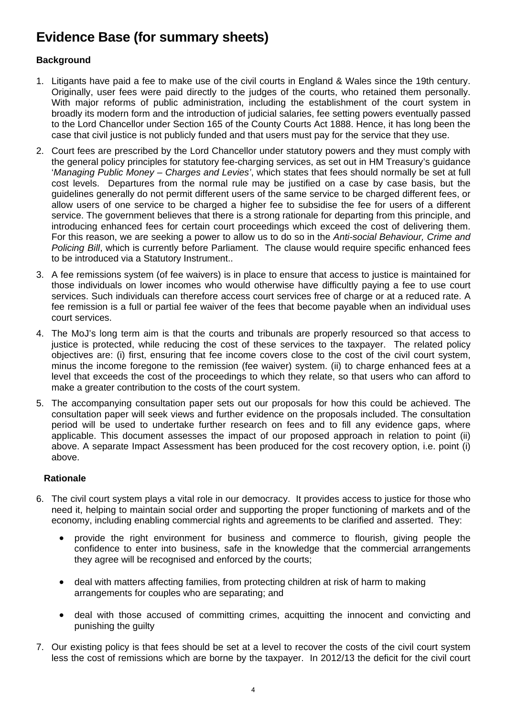## **Evidence Base (for summary sheets)**

## **Background**

- 1. Litigants have paid a fee to make use of the civil courts in England & Wales since the 19th century. Originally, user fees were paid directly to the judges of the courts, who retained them personally. With major reforms of public administration, including the establishment of the court system in broadly its modern form and the introduction of judicial salaries, fee setting powers eventually passed to the Lord Chancellor under Section 165 of the County Courts Act 1888. Hence, it has long been the case that civil justice is not publicly funded and that users must pay for the service that they use.
- 2. Court fees are prescribed by the Lord Chancellor under statutory powers and they must comply with the general policy principles for statutory fee-charging services, as set out in HM Treasury's guidance '*Managing Public Money – Charges and Levies'*, which states that fees should normally be set at full cost levels. Departures from the normal rule may be justified on a case by case basis, but the guidelines generally do not permit different users of the same service to be charged different fees, or allow users of one service to be charged a higher fee to subsidise the fee for users of a different service. The government believes that there is a strong rationale for departing from this principle, and introducing enhanced fees for certain court proceedings which exceed the cost of delivering them. For this reason, we are seeking a power to allow us to do so in the *Anti-social Behaviour, Crime and Policing Bill*, which is currently before Parliament. The clause would require specific enhanced fees to be introduced via a Statutory Instrument..
- 3. A fee remissions system (of fee waivers) is in place to ensure that access to justice is maintained for those individuals on lower incomes who would otherwise have difficultly paying a fee to use court services. Such individuals can therefore access court services free of charge or at a reduced rate. A fee remission is a full or partial fee waiver of the fees that become payable when an individual uses court services.
- 4. The MoJ's long term aim is that the courts and tribunals are properly resourced so that access to justice is protected, while reducing the cost of these services to the taxpayer. The related policy objectives are: (i) first, ensuring that fee income covers close to the cost of the civil court system, minus the income foregone to the remission (fee waiver) system. (ii) to charge enhanced fees at a level that exceeds the cost of the proceedings to which they relate, so that users who can afford to make a greater contribution to the costs of the court system.
- 5. The accompanying consultation paper sets out our proposals for how this could be achieved. The consultation paper will seek views and further evidence on the proposals included. The consultation period will be used to undertake further research on fees and to fill any evidence gaps, where applicable. This document assesses the impact of our proposed approach in relation to point (ii) above. A separate Impact Assessment has been produced for the cost recovery option, i.e. point (i) above.

#### **Rationale**

- 6. The civil court system plays a vital role in our democracy. It provides access to justice for those who need it, helping to maintain social order and supporting the proper functioning of markets and of the economy, including enabling commercial rights and agreements to be clarified and asserted. They:
	- provide the right environment for business and commerce to flourish, giving people the confidence to enter into business, safe in the knowledge that the commercial arrangements they agree will be recognised and enforced by the courts;
	- deal with matters affecting families, from protecting children at risk of harm to making arrangements for couples who are separating; and
	- deal with those accused of committing crimes, acquitting the innocent and convicting and punishing the guilty
- 7. Our existing policy is that fees should be set at a level to recover the costs of the civil court system less the cost of remissions which are borne by the taxpayer. In 2012/13 the deficit for the civil court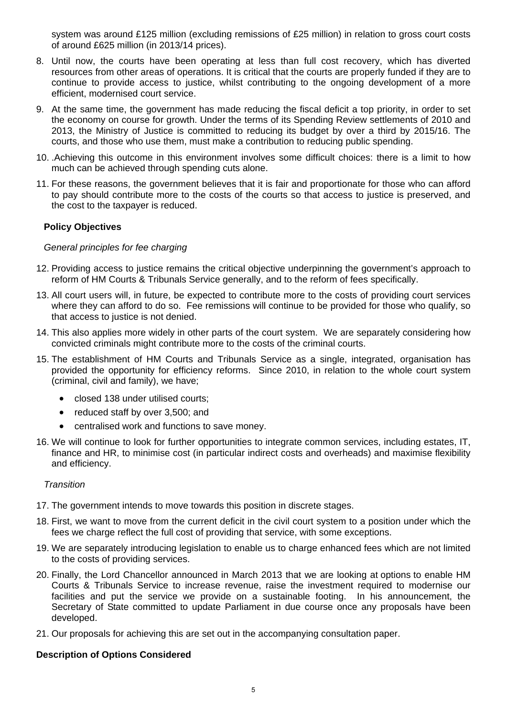system was around £125 million (excluding remissions of £25 million) in relation to gross court costs of around £625 million (in 2013/14 prices).

- 8. Until now, the courts have been operating at less than full cost recovery, which has diverted resources from other areas of operations. It is critical that the courts are properly funded if they are to continue to provide access to justice, whilst contributing to the ongoing development of a more efficient, modernised court service.
- 9. At the same time, the government has made reducing the fiscal deficit a top priority, in order to set the economy on course for growth. Under the terms of its Spending Review settlements of 2010 and 2013, the Ministry of Justice is committed to reducing its budget by over a third by 2015/16. The courts, and those who use them, must make a contribution to reducing public spending.
- 10. .Achieving this outcome in this environment involves some difficult choices: there is a limit to how much can be achieved through spending cuts alone.
- 11. For these reasons, the government believes that it is fair and proportionate for those who can afford to pay should contribute more to the costs of the courts so that access to justice is preserved, and the cost to the taxpayer is reduced.

### **Policy Objectives**

#### *General principles for fee charging*

- 12. Providing access to justice remains the critical objective underpinning the government's approach to reform of HM Courts & Tribunals Service generally, and to the reform of fees specifically.
- 13. All court users will, in future, be expected to contribute more to the costs of providing court services where they can afford to do so. Fee remissions will continue to be provided for those who qualify, so that access to justice is not denied.
- 14. This also applies more widely in other parts of the court system. We are separately considering how convicted criminals might contribute more to the costs of the criminal courts.
- 15. The establishment of HM Courts and Tribunals Service as a single, integrated, organisation has provided the opportunity for efficiency reforms. Since 2010, in relation to the whole court system (criminal, civil and family), we have;
	- closed 138 under utilised courts:
	- reduced staff by over 3,500; and
	- centralised work and functions to save money.
- 16. We will continue to look for further opportunities to integrate common services, including estates, IT, finance and HR, to minimise cost (in particular indirect costs and overheads) and maximise flexibility and efficiency.

#### *Transition*

- 17. The government intends to move towards this position in discrete stages.
- 18. First, we want to move from the current deficit in the civil court system to a position under which the fees we charge reflect the full cost of providing that service, with some exceptions.
- 19. We are separately introducing legislation to enable us to charge enhanced fees which are not limited to the costs of providing services.
- 20. Finally, the Lord Chancellor announced in March 2013 that we are looking at options to enable HM Courts & Tribunals Service to increase revenue, raise the investment required to modernise our facilities and put the service we provide on a sustainable footing. In his announcement, the Secretary of State committed to update Parliament in due course once any proposals have been developed.
- 21. Our proposals for achieving this are set out in the accompanying consultation paper.

#### **Description of Options Considered**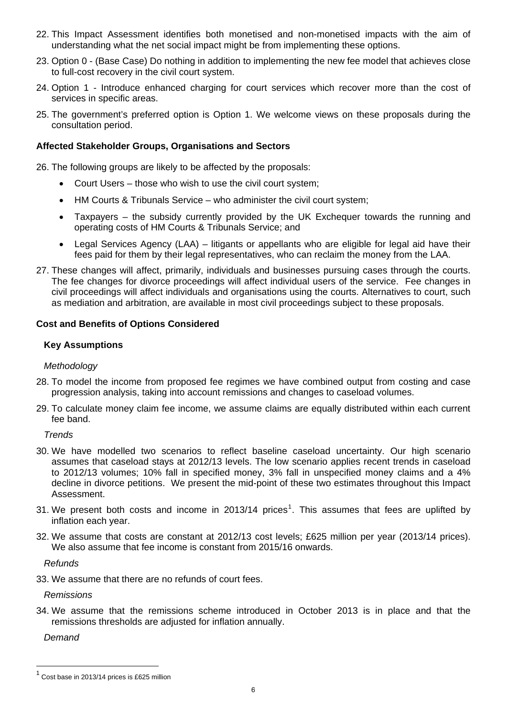- 22. This Impact Assessment identifies both monetised and non-monetised impacts with the aim of understanding what the net social impact might be from implementing these options.
- 23. Option 0 (Base Case) Do nothing in addition to implementing the new fee model that achieves close to full-cost recovery in the civil court system.
- 24. Option 1 Introduce enhanced charging for court services which recover more than the cost of services in specific areas.
- 25. The government's preferred option is Option 1. We welcome views on these proposals during the consultation period.

#### **Affected Stakeholder Groups, Organisations and Sectors**

26. The following groups are likely to be affected by the proposals:

- Court Users those who wish to use the civil court system;
- HM Courts & Tribunals Service who administer the civil court system;
- Taxpayers the subsidy currently provided by the UK Exchequer towards the running and operating costs of HM Courts & Tribunals Service; and
- Legal Services Agency (LAA) litigants or appellants who are eligible for legal aid have their fees paid for them by their legal representatives, who can reclaim the money from the LAA.
- 27. These changes will affect, primarily, individuals and businesses pursuing cases through the courts. The fee changes for divorce proceedings will affect individual users of the service. Fee changes in civil proceedings will affect individuals and organisations using the courts. Alternatives to court, such as mediation and arbitration, are available in most civil proceedings subject to these proposals.

#### **Cost and Benefits of Options Considered**

#### **Key Assumptions**

#### *Methodology*

- 28. To model the income from proposed fee regimes we have combined output from costing and case progression analysis, taking into account remissions and changes to caseload volumes.
- 29. To calculate money claim fee income, we assume claims are equally distributed within each current fee band.

*Trends* 

- 30. We have modelled two scenarios to reflect baseline caseload uncertainty. Our high scenario assumes that caseload stays at 2012/13 levels. The low scenario applies recent trends in caseload to 2012/13 volumes; 10% fall in specified money, 3% fall in unspecified money claims and a 4% decline in divorce petitions. We present the mid-point of these two estimates throughout this Impact Assessment.
- 3[1](#page-5-0). We present both costs and income in 2013/14 prices<sup>1</sup>. This assumes that fees are uplifted by inflation each year.
- 32. We assume that costs are constant at 2012/13 cost levels; £625 million per year (2013/14 prices). We also assume that fee income is constant from 2015/16 onwards.

*Refunds* 

33. We assume that there are no refunds of court fees.

*Remissions* 

34. We assume that the remissions scheme introduced in October 2013 is in place and that the remissions thresholds are adjusted for inflation annually.

*Demand* 

l

<span id="page-5-0"></span> $<sup>1</sup>$  Cost base in 2013/14 prices is £625 million</sup>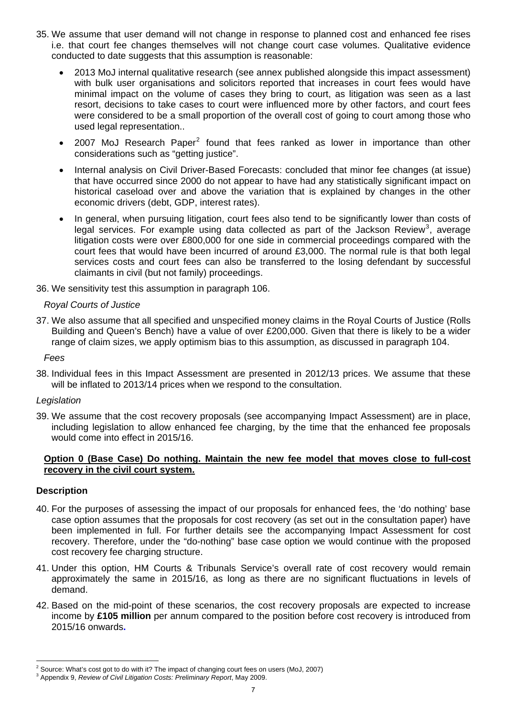- 35. We assume that user demand will not change in response to planned cost and enhanced fee rises i.e. that court fee changes themselves will not change court case volumes. Qualitative evidence conducted to date suggests that this assumption is reasonable:
	- 2013 MoJ internal qualitative research (see annex published alongside this impact assessment) with bulk user organisations and solicitors reported that increases in court fees would have minimal impact on the volume of cases they bring to court, as litigation was seen as a last resort, decisions to take cases to court were influenced more by other factors, and court fees were considered to be a small proportion of the overall cost of going to court among those who used legal representation..
	- [2](#page-6-0)007 MoJ Research Paper<sup>2</sup> found that fees ranked as lower in importance than other considerations such as "getting justice".
	- Internal analysis on Civil Driver-Based Forecasts: concluded that minor fee changes (at issue) that have occurred since 2000 do not appear to have had any statistically significant impact on historical caseload over and above the variation that is explained by changes in the other economic drivers (debt, GDP, interest rates).
	- In general, when pursuing litigation, court fees also tend to be significantly lower than costs of legal services. For example using data collected as part of the Jackson Review<sup>[3](#page-6-1)</sup>, average litigation costs were over £800,000 for one side in commercial proceedings compared with the court fees that would have been incurred of around £3,000. The normal rule is that both legal services costs and court fees can also be transferred to the losing defendant by successful claimants in civil (but not family) proceedings.
- 36. We sensitivity test this assumption in paragraph 106.

#### *Royal Courts of Justice*

- 37. We also assume that all specified and unspecified money claims in the Royal Courts of Justice (Rolls Building and Queen's Bench) have a value of over £200,000. Given that there is likely to be a wider range of claim sizes, we apply optimism bias to this assumption, as discussed in paragraph 104.
	- *Fees*
- 38. Individual fees in this Impact Assessment are presented in 2012/13 prices. We assume that these will be inflated to 2013/14 prices when we respond to the consultation.

#### *Legislation*

39. We assume that the cost recovery proposals (see accompanying Impact Assessment) are in place, including legislation to allow enhanced fee charging, by the time that the enhanced fee proposals would come into effect in 2015/16.

#### **Option 0 (Base Case) Do nothing. Maintain the new fee model that moves close to full-cost recovery in the civil court system.**

#### **Description**

l

- 40. For the purposes of assessing the impact of our proposals for enhanced fees, the 'do nothing' base case option assumes that the proposals for cost recovery (as set out in the consultation paper) have been implemented in full. For further details see the accompanying Impact Assessment for cost recovery. Therefore, under the "do-nothing" base case option we would continue with the proposed cost recovery fee charging structure.
- 41. Under this option, HM Courts & Tribunals Service's overall rate of cost recovery would remain approximately the same in 2015/16, as long as there are no significant fluctuations in levels of demand.
- 42. Based on the mid-point of these scenarios, the cost recovery proposals are expected to increase income by **£105 million** per annum compared to the position before cost recovery is introduced from 2015/16 onwards**.**

<span id="page-6-0"></span><sup>2</sup> Source: What's cost got to do with it? The impact of changing court fees on users (MoJ, 2007)

<span id="page-6-1"></span>Appendix 9, *Review of Civil Litigation Costs: Preliminary Report*, May 2009.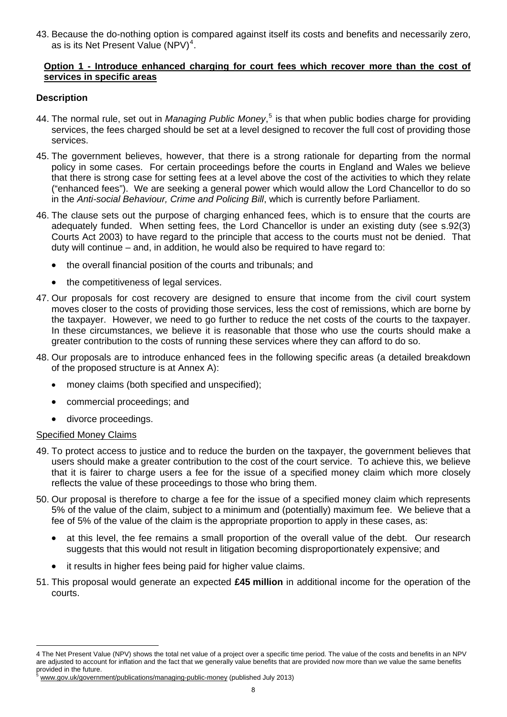43. Because the do-nothing option is compared against itself its costs and benefits and necessarily zero, as is its Net Present Value  $(NPV)^4$  $(NPV)^4$ .

#### **Option 1 - Introduce enhanced charging for court fees which recover more than the cost of services in specific areas**

### **Description**

- 44. The normal rule, set out in *Managing Public Money*, [5](#page-7-1) is that when public bodies charge for providing services, the fees charged should be set at a level designed to recover the full cost of providing those services.
- 45. The government believes, however, that there is a strong rationale for departing from the normal policy in some cases. For certain proceedings before the courts in England and Wales we believe that there is strong case for setting fees at a level above the cost of the activities to which they relate ("enhanced fees"). We are seeking a general power which would allow the Lord Chancellor to do so in the *Anti-social Behaviour, Crime and Policing Bill*, which is currently before Parliament.
- 46. The clause sets out the purpose of charging enhanced fees, which is to ensure that the courts are adequately funded. When setting fees, the Lord Chancellor is under an existing duty (see s.92(3) Courts Act 2003) to have regard to the principle that access to the courts must not be denied. That duty will continue – and, in addition, he would also be required to have regard to:
	- the overall financial position of the courts and tribunals; and
	- the competitiveness of legal services.
- 47. Our proposals for cost recovery are designed to ensure that income from the civil court system moves closer to the costs of providing those services, less the cost of remissions, which are borne by the taxpayer. However, we need to go further to reduce the net costs of the courts to the taxpayer. In these circumstances, we believe it is reasonable that those who use the courts should make a greater contribution to the costs of running these services where they can afford to do so.
- 48. Our proposals are to introduce enhanced fees in the following specific areas (a detailed breakdown of the proposed structure is at Annex A):
	- money claims (both specified and unspecified);
	- commercial proceedings; and
	- divorce proceedings.

#### Specified Money Claims

l

- 49. To protect access to justice and to reduce the burden on the taxpayer, the government believes that users should make a greater contribution to the cost of the court service. To achieve this, we believe that it is fairer to charge users a fee for the issue of a specified money claim which more closely reflects the value of these proceedings to those who bring them.
- 50. Our proposal is therefore to charge a fee for the issue of a specified money claim which represents 5% of the value of the claim, subject to a minimum and (potentially) maximum fee. We believe that a fee of 5% of the value of the claim is the appropriate proportion to apply in these cases, as:
	- at this level, the fee remains a small proportion of the overall value of the debt. Our research suggests that this would not result in litigation becoming disproportionately expensive; and
	- it results in higher fees being paid for higher value claims.
- 51. This proposal would generate an expected **£45 million** in additional income for the operation of the courts.

<span id="page-7-0"></span><sup>4</sup> The Net Present Value (NPV) shows the total net value of a project over a specific time period. The value of the costs and benefits in an NPV are adjusted to account for inflation and the fact that we generally value benefits that are provided now more than we value the same benefits provided in the future.

<span id="page-7-1"></span>[www.gov.uk/government/publications/managing-public-money](https://www.gov.uk/government/publications/managing-public-money) (published July 2013)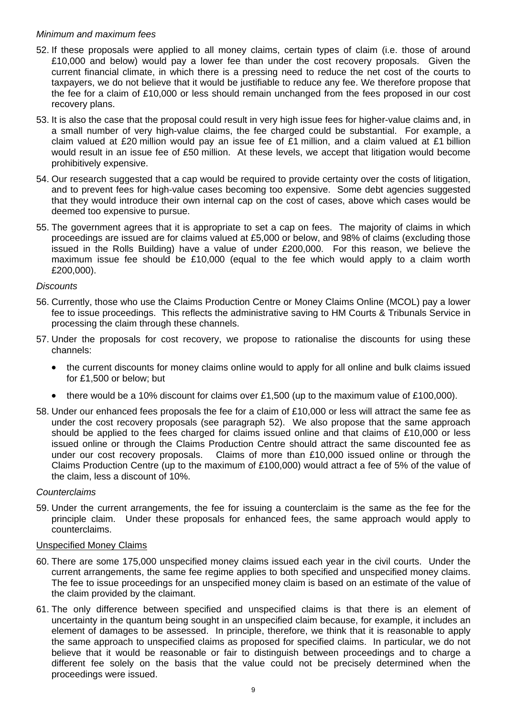#### *Minimum and maximum fees*

- 52. If these proposals were applied to all money claims, certain types of claim (i.e. those of around £10,000 and below) would pay a lower fee than under the cost recovery proposals. Given the current financial climate, in which there is a pressing need to reduce the net cost of the courts to taxpayers, we do not believe that it would be justifiable to reduce any fee. We therefore propose that the fee for a claim of £10,000 or less should remain unchanged from the fees proposed in our cost recovery plans.
- 53. It is also the case that the proposal could result in very high issue fees for higher-value claims and, in a small number of very high-value claims, the fee charged could be substantial. For example, a claim valued at £20 million would pay an issue fee of £1 million, and a claim valued at £1 billion would result in an issue fee of £50 million. At these levels, we accept that litigation would become prohibitively expensive.
- 54. Our research suggested that a cap would be required to provide certainty over the costs of litigation, and to prevent fees for high-value cases becoming too expensive. Some debt agencies suggested that they would introduce their own internal cap on the cost of cases, above which cases would be deemed too expensive to pursue.
- 55. The government agrees that it is appropriate to set a cap on fees. The majority of claims in which proceedings are issued are for claims valued at £5,000 or below, and 98% of claims (excluding those issued in the Rolls Building) have a value of under £200,000. For this reason, we believe the maximum issue fee should be £10,000 (equal to the fee which would apply to a claim worth £200,000).

#### *Discounts*

- 56. Currently, those who use the Claims Production Centre or Money Claims Online (MCOL) pay a lower fee to issue proceedings. This reflects the administrative saving to HM Courts & Tribunals Service in processing the claim through these channels.
- 57. Under the proposals for cost recovery, we propose to rationalise the discounts for using these channels:
	- the current discounts for money claims online would to apply for all online and bulk claims issued for £1,500 or below; but
	- there would be a 10% discount for claims over £1,500 (up to the maximum value of £100,000).
- 58. Under our enhanced fees proposals the fee for a claim of £10,000 or less will attract the same fee as under the cost recovery proposals (see paragraph 52). We also propose that the same approach should be applied to the fees charged for claims issued online and that claims of £10,000 or less issued online or through the Claims Production Centre should attract the same discounted fee as under our cost recovery proposals. Claims of more than £10,000 issued online or through the Claims Production Centre (up to the maximum of £100,000) would attract a fee of 5% of the value of the claim, less a discount of 10%.

#### *Counterclaims*

59. Under the current arrangements, the fee for issuing a counterclaim is the same as the fee for the principle claim. Under these proposals for enhanced fees, the same approach would apply to counterclaims.

#### Unspecified Money Claims

- 60. There are some 175,000 unspecified money claims issued each year in the civil courts. Under the current arrangements, the same fee regime applies to both specified and unspecified money claims. The fee to issue proceedings for an unspecified money claim is based on an estimate of the value of the claim provided by the claimant.
- 61. The only difference between specified and unspecified claims is that there is an element of uncertainty in the quantum being sought in an unspecified claim because, for example, it includes an element of damages to be assessed. In principle, therefore, we think that it is reasonable to apply the same approach to unspecified claims as proposed for specified claims. In particular, we do not believe that it would be reasonable or fair to distinguish between proceedings and to charge a different fee solely on the basis that the value could not be precisely determined when the proceedings were issued.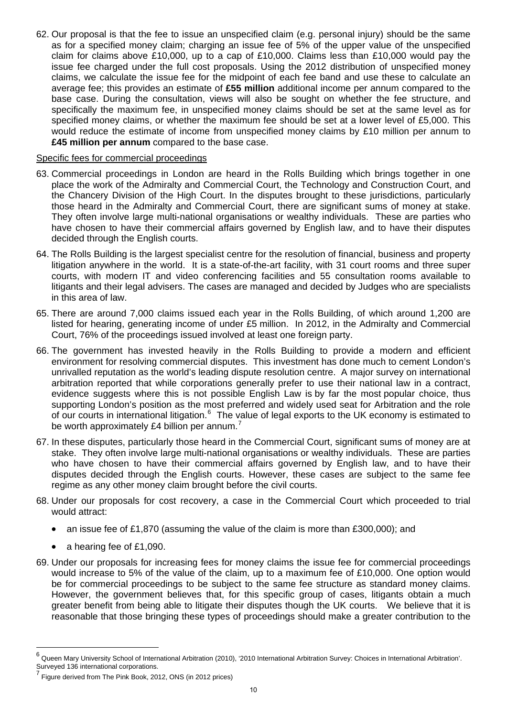62. Our proposal is that the fee to issue an unspecified claim (e.g. personal injury) should be the same as for a specified money claim; charging an issue fee of 5% of the upper value of the unspecified claim for claims above £10,000, up to a cap of £10,000. Claims less than £10,000 would pay the issue fee charged under the full cost proposals. Using the 2012 distribution of unspecified money claims, we calculate the issue fee for the midpoint of each fee band and use these to calculate an average fee; this provides an estimate of **£55 million** additional income per annum compared to the base case. During the consultation, views will also be sought on whether the fee structure, and specifically the maximum fee, in unspecified money claims should be set at the same level as for specified money claims, or whether the maximum fee should be set at a lower level of £5,000. This would reduce the estimate of income from unspecified money claims by £10 million per annum to **£45 million per annum** compared to the base case.

#### Specific fees for commercial proceedings

- 63. Commercial proceedings in London are heard in the Rolls Building which brings together in one place the work of the Admiralty and Commercial Court, the Technology and Construction Court, and the Chancery Division of the High Court. In the disputes brought to these jurisdictions, particularly those heard in the Admiralty and Commercial Court, there are significant sums of money at stake. They often involve large multi-national organisations or wealthy individuals. These are parties who have chosen to have their commercial affairs governed by English law, and to have their disputes decided through the English courts.
- 64. The Rolls Building is the largest specialist centre for the resolution of financial, business and property litigation anywhere in the world. It is a state-of-the-art facility, with 31 court rooms and three super courts, with modern IT and video conferencing facilities and 55 consultation rooms available to litigants and their legal advisers. The cases are managed and decided by Judges who are specialists in this area of law.
- 65. There are around 7,000 claims issued each year in the Rolls Building, of which around 1,200 are listed for hearing, generating income of under £5 million. In 2012, in the Admiralty and Commercial Court, 76% of the proceedings issued involved at least one foreign party.
- 66. The government has invested heavily in the Rolls Building to provide a modern and efficient environment for resolving commercial disputes. This investment has done much to cement London's unrivalled reputation as the world's leading dispute resolution centre. A major survey on international arbitration reported that while corporations generally prefer to use their national law in a contract, evidence suggests where this is not possible English Law is by far the most popular choice, thus supporting London's position as the most preferred and widely used seat for Arbitration and the role of our courts in international litigation.<sup>[6](#page-9-0)</sup> The value of legal exports to the UK economy is estimated to be worth approximately £4 billion per annum.<sup>[7](#page-9-1)</sup>
- 67. In these disputes, particularly those heard in the Commercial Court, significant sums of money are at stake. They often involve large multi-national organisations or wealthy individuals. These are parties who have chosen to have their commercial affairs governed by English law, and to have their disputes decided through the English courts. However, these cases are subject to the same fee regime as any other money claim brought before the civil courts.
- 68. Under our proposals for cost recovery, a case in the Commercial Court which proceeded to trial would attract:
	- an issue fee of £1,870 (assuming the value of the claim is more than £300,000); and
	- a hearing fee of £1,090.

l

69. Under our proposals for increasing fees for money claims the issue fee for commercial proceedings would increase to 5% of the value of the claim, up to a maximum fee of £10,000. One option would be for commercial proceedings to be subject to the same fee structure as standard money claims. However, the government believes that, for this specific group of cases, litigants obtain a much greater benefit from being able to litigate their disputes though the UK courts. We believe that it is reasonable that those bringing these types of proceedings should make a greater contribution to the

<span id="page-9-0"></span><sup>&</sup>lt;sup>6</sup> Queen Mary University School of International Arbitration (2010), '2010 International Arbitration Survey: Choices in International Arbitration'. Surveyed 136 international corporations.

<span id="page-9-1"></span><sup>7</sup> Figure derived from The Pink Book, 2012, ONS (in 2012 prices)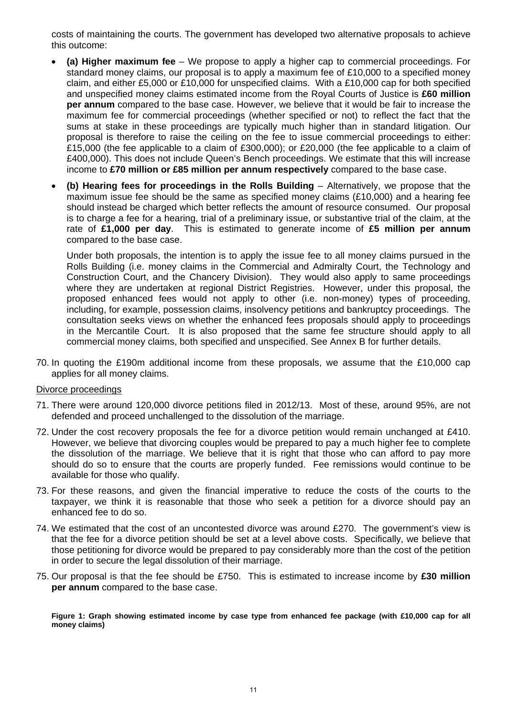costs of maintaining the courts. The government has developed two alternative proposals to achieve this outcome:

- **(a) Higher maximum fee** We propose to apply a higher cap to commercial proceedings. For standard money claims, our proposal is to apply a maximum fee of £10,000 to a specified money claim, and either £5,000 or £10,000 for unspecified claims. With a £10,000 cap for both specified and unspecified money claims estimated income from the Royal Courts of Justice is **£60 million per annum** compared to the base case. However, we believe that it would be fair to increase the maximum fee for commercial proceedings (whether specified or not) to reflect the fact that the sums at stake in these proceedings are typically much higher than in standard litigation. Our proposal is therefore to raise the ceiling on the fee to issue commercial proceedings to either: £15,000 (the fee applicable to a claim of £300,000); or £20,000 (the fee applicable to a claim of £400,000). This does not include Queen's Bench proceedings. We estimate that this will increase income to **£70 million or £85 million per annum respectively** compared to the base case.
- **(b) Hearing fees for proceedings in the Rolls Building**  Alternatively, we propose that the maximum issue fee should be the same as specified money claims (£10,000) and a hearing fee should instead be charged which better reflects the amount of resource consumed. Our proposal is to charge a fee for a hearing, trial of a preliminary issue, or substantive trial of the claim, at the rate of **£1,000 per day**. This is estimated to generate income of **£5 million per annum** compared to the base case.

Under both proposals, the intention is to apply the issue fee to all money claims pursued in the Rolls Building (i.e. money claims in the Commercial and Admiralty Court, the Technology and Construction Court, and the Chancery Division). They would also apply to same proceedings where they are undertaken at regional District Registries. However, under this proposal, the proposed enhanced fees would not apply to other (i.e. non-money) types of proceeding, including, for example, possession claims, insolvency petitions and bankruptcy proceedings. The consultation seeks views on whether the enhanced fees proposals should apply to proceedings in the Mercantile Court. It is also proposed that the same fee structure should apply to all commercial money claims, both specified and unspecified. See Annex B for further details.

70. In quoting the £190m additional income from these proposals, we assume that the £10,000 cap applies for all money claims.

#### Divorce proceedings

- 71. There were around 120,000 divorce petitions filed in 2012/13. Most of these, around 95%, are not defended and proceed unchallenged to the dissolution of the marriage.
- 72. Under the cost recovery proposals the fee for a divorce petition would remain unchanged at £410. However, we believe that divorcing couples would be prepared to pay a much higher fee to complete the dissolution of the marriage. We believe that it is right that those who can afford to pay more should do so to ensure that the courts are properly funded. Fee remissions would continue to be available for those who qualify.
- 73. For these reasons, and given the financial imperative to reduce the costs of the courts to the taxpayer, we think it is reasonable that those who seek a petition for a divorce should pay an enhanced fee to do so.
- 74. We estimated that the cost of an uncontested divorce was around £270. The government's view is that the fee for a divorce petition should be set at a level above costs. Specifically, we believe that those petitioning for divorce would be prepared to pay considerably more than the cost of the petition in order to secure the legal dissolution of their marriage.
- 75. Our proposal is that the fee should be £750. This is estimated to increase income by **£30 million per annum** compared to the base case.

**Figure 1: Graph showing estimated income by case type from enhanced fee package (with £10,000 cap for all money claims)**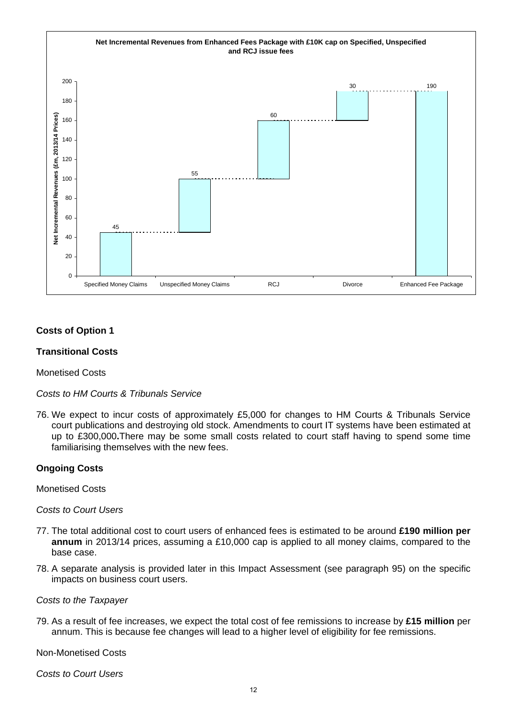

## **Costs of Option 1**

#### **Transitional Costs**

Monetised Costs

*Costs to HM Courts & Tribunals Service* 

76. We expect to incur costs of approximately £5,000 for changes to HM Courts & Tribunals Service court publications and destroying old stock. Amendments to court IT systems have been estimated at up to £300,000**.**There may be some small costs related to court staff having to spend some time familiarising themselves with the new fees.

#### **Ongoing Costs**

Monetised Costs

*Costs to Court Users* 

- 77. The total additional cost to court users of enhanced fees is estimated to be around **£190 million per annum** in 2013/14 prices, assuming a £10,000 cap is applied to all money claims, compared to the base case.
- 78. A separate analysis is provided later in this Impact Assessment (see paragraph 95) on the specific impacts on business court users.

*Costs to the Taxpayer* 

79. As a result of fee increases, we expect the total cost of fee remissions to increase by **£15 million** per annum. This is because fee changes will lead to a higher level of eligibility for fee remissions.

Non-Monetised Costs

*Costs to Court Users*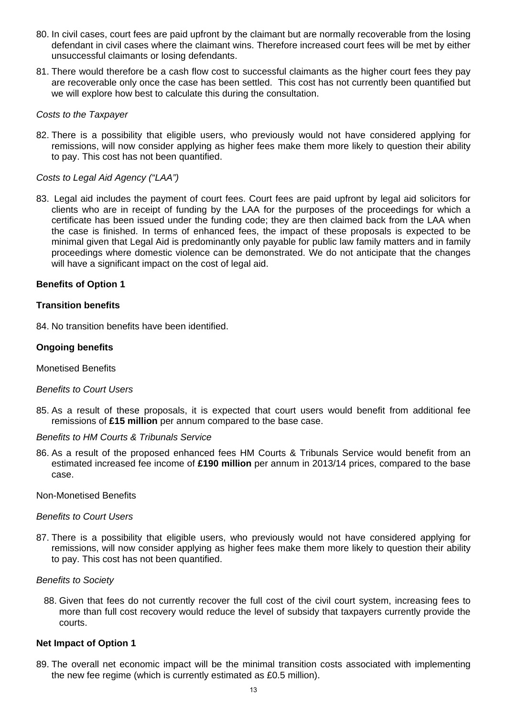- 80. In civil cases, court fees are paid upfront by the claimant but are normally recoverable from the losing defendant in civil cases where the claimant wins. Therefore increased court fees will be met by either unsuccessful claimants or losing defendants.
- 81. There would therefore be a cash flow cost to successful claimants as the higher court fees they pay are recoverable only once the case has been settled. This cost has not currently been quantified but we will explore how best to calculate this during the consultation.

#### *Costs to the Taxpayer*

82. There is a possibility that eligible users, who previously would not have considered applying for remissions, will now consider applying as higher fees make them more likely to question their ability to pay. This cost has not been quantified.

#### *Costs to Legal Aid Agency ("LAA")*

83. Legal aid includes the payment of court fees. Court fees are paid upfront by legal aid solicitors for clients who are in receipt of funding by the LAA for the purposes of the proceedings for which a certificate has been issued under the funding code; they are then claimed back from the LAA when the case is finished. In terms of enhanced fees, the impact of these proposals is expected to be minimal given that Legal Aid is predominantly only payable for public law family matters and in family proceedings where domestic violence can be demonstrated. We do not anticipate that the changes will have a significant impact on the cost of legal aid.

#### **Benefits of Option 1**

#### **Transition benefits**

84. No transition benefits have been identified.

#### **Ongoing benefits**

#### Monetised Benefits

#### *Benefits to Court Users*

85. As a result of these proposals, it is expected that court users would benefit from additional fee remissions of **£15 million** per annum compared to the base case.

#### *Benefits to HM Courts & Tribunals Service*

86. As a result of the proposed enhanced fees HM Courts & Tribunals Service would benefit from an estimated increased fee income of **£190 million** per annum in 2013/14 prices, compared to the base case.

#### Non-Monetised Benefits

#### *Benefits to Court Users*

87. There is a possibility that eligible users, who previously would not have considered applying for remissions, will now consider applying as higher fees make them more likely to question their ability to pay. This cost has not been quantified.

#### *Benefits to Society*

88. Given that fees do not currently recover the full cost of the civil court system, increasing fees to more than full cost recovery would reduce the level of subsidy that taxpayers currently provide the courts.

#### **Net Impact of Option 1**

89. The overall net economic impact will be the minimal transition costs associated with implementing the new fee regime (which is currently estimated as £0.5 million).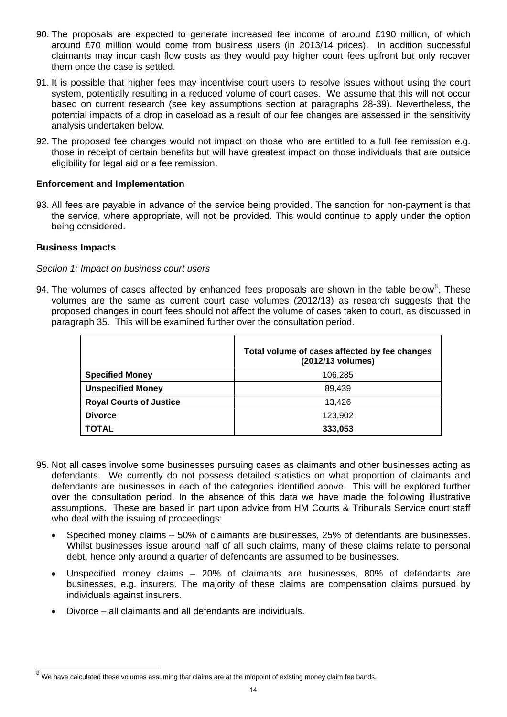- 90. The proposals are expected to generate increased fee income of around £190 million, of which around £70 million would come from business users (in 2013/14 prices). In addition successful claimants may incur cash flow costs as they would pay higher court fees upfront but only recover them once the case is settled.
- 91. It is possible that higher fees may incentivise court users to resolve issues without using the court system, potentially resulting in a reduced volume of court cases. We assume that this will not occur based on current research (see key assumptions section at paragraphs 28-39). Nevertheless, the potential impacts of a drop in caseload as a result of our fee changes are assessed in the sensitivity analysis undertaken below.
- 92. The proposed fee changes would not impact on those who are entitled to a full fee remission e.g. those in receipt of certain benefits but will have greatest impact on those individuals that are outside eligibility for legal aid or a fee remission.

#### **Enforcement and Implementation**

93. All fees are payable in advance of the service being provided. The sanction for non-payment is that the service, where appropriate, will not be provided. This would continue to apply under the option being considered.

#### **Business Impacts**

l

#### *Section 1: Impact on business court users*

94. The volumes of cases affected by enhanced fees proposals are shown in the table below<sup>[8](#page-13-0)</sup>. These volumes are the same as current court case volumes (2012/13) as research suggests that the proposed changes in court fees should not affect the volume of cases taken to court, as discussed in paragraph 35. This will be examined further over the consultation period.

|                                | Total volume of cases affected by fee changes<br>(2012/13 volumes) |
|--------------------------------|--------------------------------------------------------------------|
| <b>Specified Money</b>         | 106,285                                                            |
| <b>Unspecified Money</b>       | 89,439                                                             |
| <b>Royal Courts of Justice</b> | 13.426                                                             |
| <b>Divorce</b>                 | 123,902                                                            |
| <b>TOTAL</b>                   | 333,053                                                            |

- 95. Not all cases involve some businesses pursuing cases as claimants and other businesses acting as defendants. We currently do not possess detailed statistics on what proportion of claimants and defendants are businesses in each of the categories identified above. This will be explored further over the consultation period. In the absence of this data we have made the following illustrative assumptions. These are based in part upon advice from HM Courts & Tribunals Service court staff who deal with the issuing of proceedings:
	- Specified money claims 50% of claimants are businesses, 25% of defendants are businesses. Whilst businesses issue around half of all such claims, many of these claims relate to personal debt, hence only around a quarter of defendants are assumed to be businesses.
	- Unspecified money claims 20% of claimants are businesses, 80% of defendants are businesses, e.g. insurers. The majority of these claims are compensation claims pursued by individuals against insurers.
	- Divorce all claimants and all defendants are individuals.

<span id="page-13-0"></span> $^8$  We have calculated these volumes assuming that claims are at the midpoint of existing money claim fee bands.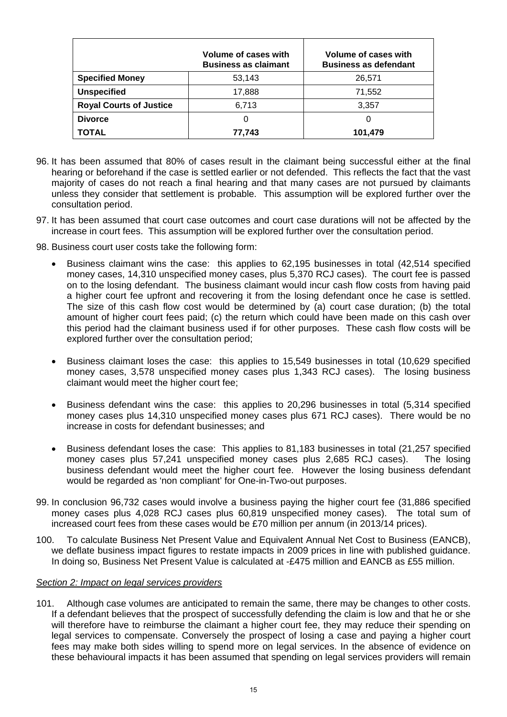|                                | Volume of cases with<br><b>Business as claimant</b> | Volume of cases with<br><b>Business as defendant</b> |
|--------------------------------|-----------------------------------------------------|------------------------------------------------------|
| <b>Specified Money</b>         | 53,143                                              | 26,571                                               |
| <b>Unspecified</b>             | 17,888                                              | 71,552                                               |
| <b>Royal Courts of Justice</b> | 6,713                                               | 3,357                                                |
| <b>Divorce</b>                 | 0                                                   | O                                                    |
| <b>TOTAL</b>                   | 77,743                                              | 101,479                                              |

- 96. It has been assumed that 80% of cases result in the claimant being successful either at the final hearing or beforehand if the case is settled earlier or not defended. This reflects the fact that the vast majority of cases do not reach a final hearing and that many cases are not pursued by claimants unless they consider that settlement is probable. This assumption will be explored further over the consultation period.
- 97. It has been assumed that court case outcomes and court case durations will not be affected by the increase in court fees. This assumption will be explored further over the consultation period.
- 98. Business court user costs take the following form:
	- Business claimant wins the case: this applies to 62,195 businesses in total (42,514 specified money cases, 14,310 unspecified money cases, plus 5,370 RCJ cases). The court fee is passed on to the losing defendant. The business claimant would incur cash flow costs from having paid a higher court fee upfront and recovering it from the losing defendant once he case is settled. The size of this cash flow cost would be determined by (a) court case duration; (b) the total amount of higher court fees paid; (c) the return which could have been made on this cash over this period had the claimant business used if for other purposes. These cash flow costs will be explored further over the consultation period;
	- Business claimant loses the case: this applies to 15,549 businesses in total (10,629 specified money cases, 3,578 unspecified money cases plus 1,343 RCJ cases). The losing business claimant would meet the higher court fee;
	- Business defendant wins the case: this applies to 20,296 businesses in total (5,314 specified money cases plus 14,310 unspecified money cases plus 671 RCJ cases). There would be no increase in costs for defendant businesses; and
	- Business defendant loses the case: This applies to 81,183 businesses in total (21,257 specified money cases plus 57,241 unspecified money cases plus 2,685 RCJ cases). The losing business defendant would meet the higher court fee. However the losing business defendant would be regarded as 'non compliant' for One-in-Two-out purposes.
- 99. In conclusion 96,732 cases would involve a business paying the higher court fee (31,886 specified money cases plus 4,028 RCJ cases plus 60,819 unspecified money cases). The total sum of increased court fees from these cases would be £70 million per annum (in 2013/14 prices).
- 100. To calculate Business Net Present Value and Equivalent Annual Net Cost to Business (EANCB), we deflate business impact figures to restate impacts in 2009 prices in line with published guidance. In doing so, Business Net Present Value is calculated at -£475 million and EANCB as £55 million.

#### *Section 2: Impact on legal services providers*

101. Although case volumes are anticipated to remain the same, there may be changes to other costs. If a defendant believes that the prospect of successfully defending the claim is low and that he or she will therefore have to reimburse the claimant a higher court fee, they may reduce their spending on legal services to compensate. Conversely the prospect of losing a case and paying a higher court fees may make both sides willing to spend more on legal services. In the absence of evidence on these behavioural impacts it has been assumed that spending on legal services providers will remain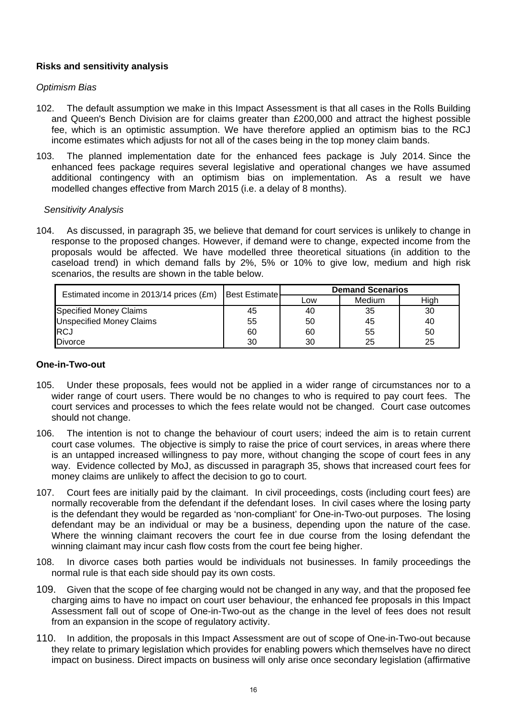## **Risks and sensitivity analysis**

#### *Optimism Bias*

- 102. The default assumption we make in this Impact Assessment is that all cases in the Rolls Building and Queen's Bench Division are for claims greater than £200,000 and attract the highest possible fee, which is an optimistic assumption. We have therefore applied an optimism bias to the RCJ income estimates which adjusts for not all of the cases being in the top money claim bands.
- 103. The planned implementation date for the enhanced fees package is July 2014. Since the enhanced fees package requires several legislative and operational changes we have assumed additional contingency with an optimism bias on implementation. As a result we have modelled changes effective from March 2015 (i.e. a delay of 8 months).

#### *Sensitivity Analysis*

104. As discussed, in paragraph 35, we believe that demand for court services is unlikely to change in response to the proposed changes. However, if demand were to change, expected income from the proposals would be affected. We have modelled three theoretical situations (in addition to the caseload trend) in which demand falls by 2%, 5% or 10% to give low, medium and high risk scenarios, the results are shown in the table below.

| Estimated income in 2013/14 prices (£m) | <b>Best Estimatel</b> | <b>Demand Scenarios</b> |        |      |  |  |
|-----------------------------------------|-----------------------|-------------------------|--------|------|--|--|
|                                         |                       | Low                     | Medium | High |  |  |
| <b>Specified Money Claims</b>           | 45                    | 40                      | 35     | 30   |  |  |
| <b>Unspecified Money Claims</b>         | 55                    | 50                      | 45     | 40   |  |  |
| <b>IRCJ</b>                             | 60                    | 60                      | 55     | 50   |  |  |
| <b>Divorce</b>                          | 30                    | 30                      | 25     | 25   |  |  |

#### **One-in-Two-out**

- 105. Under these proposals, fees would not be applied in a wider range of circumstances nor to a wider range of court users. There would be no changes to who is required to pay court fees. The court services and processes to which the fees relate would not be changed. Court case outcomes should not change.
- 106. The intention is not to change the behaviour of court users; indeed the aim is to retain current court case volumes. The objective is simply to raise the price of court services, in areas where there is an untapped increased willingness to pay more, without changing the scope of court fees in any way. Evidence collected by MoJ, as discussed in paragraph 35, shows that increased court fees for money claims are unlikely to affect the decision to go to court.
- 107. Court fees are initially paid by the claimant. In civil proceedings, costs (including court fees) are normally recoverable from the defendant if the defendant loses. In civil cases where the losing party is the defendant they would be regarded as 'non-compliant' for One-in-Two-out purposes. The losing defendant may be an individual or may be a business, depending upon the nature of the case. Where the winning claimant recovers the court fee in due course from the losing defendant the winning claimant may incur cash flow costs from the court fee being higher.
- 108. In divorce cases both parties would be individuals not businesses. In family proceedings the normal rule is that each side should pay its own costs.
- 109. Given that the scope of fee charging would not be changed in any way, and that the proposed fee charging aims to have no impact on court user behaviour, the enhanced fee proposals in this Impact Assessment fall out of scope of One-in-Two-out as the change in the level of fees does not result from an expansion in the scope of regulatory activity.
- 110. In addition, the proposals in this Impact Assessment are out of scope of One-in-Two-out because they relate to primary legislation which provides for enabling powers which themselves have no direct impact on business. Direct impacts on business will only arise once secondary legislation (affirmative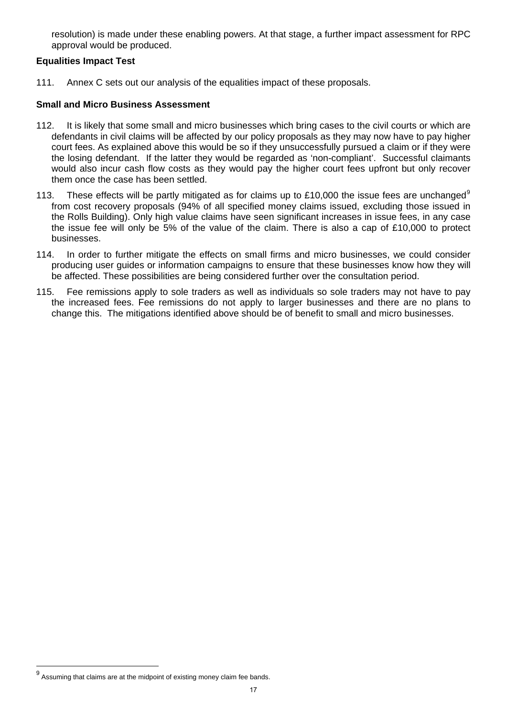resolution) is made under these enabling powers. At that stage, a further impact assessment for RPC approval would be produced.

#### **Equalities Impact Test**

111. Annex C sets out our analysis of the equalities impact of these proposals.

#### **Small and Micro Business Assessment**

- 112. It is likely that some small and micro businesses which bring cases to the civil courts or which are defendants in civil claims will be affected by our policy proposals as they may now have to pay higher court fees. As explained above this would be so if they unsuccessfully pursued a claim or if they were the losing defendant. If the latter they would be regarded as 'non-compliant'. Successful claimants would also incur cash flow costs as they would pay the higher court fees upfront but only recover them once the case has been settled.
- 113. These effects will be partly mitigated as for claims up to £10,000 the issue fees are unchanged<sup>[9](#page-16-0)</sup> from cost recovery proposals (94% of all specified money claims issued, excluding those issued in the Rolls Building). Only high value claims have seen significant increases in issue fees, in any case the issue fee will only be 5% of the value of the claim. There is also a cap of £10,000 to protect businesses.
- 114. In order to further mitigate the effects on small firms and micro businesses, we could consider producing user guides or information campaigns to ensure that these businesses know how they will be affected. These possibilities are being considered further over the consultation period.
- 115. Fee remissions apply to sole traders as well as individuals so sole traders may not have to pay the increased fees. Fee remissions do not apply to larger businesses and there are no plans to change this. The mitigations identified above should be of benefit to small and micro businesses.

<span id="page-16-0"></span>get assuming that claims are at the midpoint of existing money claim fee bands.<br><sup>9</sup> Assuming that claims are at the midpoint of existing money claim fee bands.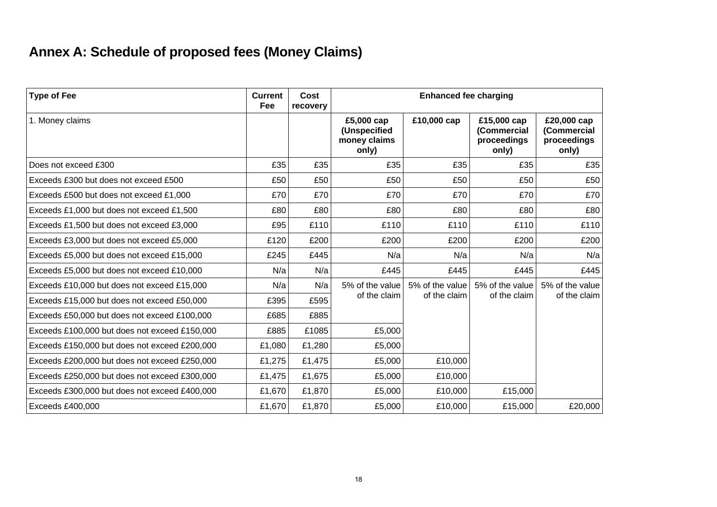# **Annex A: Schedule of proposed fees (Money Claims)**

| <b>Type of Fee</b>                            | <b>Current</b><br>Fee | Cost<br>recovery |                                                     | <b>Enhanced fee charging</b> |                                                    |                                                    |
|-----------------------------------------------|-----------------------|------------------|-----------------------------------------------------|------------------------------|----------------------------------------------------|----------------------------------------------------|
| 1. Money claims                               |                       |                  | £5,000 cap<br>(Unspecified<br>money claims<br>only) | £10,000 cap                  | £15,000 cap<br>(Commercial<br>proceedings<br>only) | £20,000 cap<br>(Commercial<br>proceedings<br>only) |
| Does not exceed £300                          | £35                   | £35              | £35                                                 | £35                          | £35                                                | £35                                                |
| Exceeds £300 but does not exceed £500         | £50                   | £50              | £50                                                 | £50                          | £50                                                | £50                                                |
| Exceeds £500 but does not exceed £1,000       | £70                   | £70              | £70                                                 | £70                          | £70                                                | £70                                                |
| Exceeds £1,000 but does not exceed £1,500     | £80                   | £80              | £80                                                 | £80                          | £80                                                | £80                                                |
| Exceeds £1,500 but does not exceed £3,000     | £95                   | £110             | £110                                                | £110                         | £110                                               | £110                                               |
| Exceeds £3,000 but does not exceed £5,000     | £120                  | £200             | £200                                                | £200                         | £200                                               | £200                                               |
| Exceeds £5,000 but does not exceed £15,000    | £245                  | £445             | N/a                                                 | N/a                          | N/a                                                | N/a                                                |
| Exceeds £5,000 but does not exceed £10,000    | N/a                   | N/a              | £445                                                | £445                         | £445                                               | £445                                               |
| Exceeds £10,000 but does not exceed £15,000   | N/a                   | N/a              | 5% of the value                                     | 5% of the value              | 5% of the value                                    | 5% of the value<br>of the claim                    |
| Exceeds £15,000 but does not exceed £50,000   | £395                  | £595             | of the claim                                        | of the claim                 | of the claim                                       |                                                    |
| Exceeds £50,000 but does not exceed £100,000  | £685                  | £885             |                                                     |                              |                                                    |                                                    |
| Exceeds £100,000 but does not exceed £150,000 | £885                  | £1085            | £5,000                                              |                              |                                                    |                                                    |
| Exceeds £150,000 but does not exceed £200,000 | £1,080                | £1,280           | £5,000                                              |                              |                                                    |                                                    |
| Exceeds £200,000 but does not exceed £250,000 | £1,275                | £1,475           | £5,000                                              | £10,000                      |                                                    |                                                    |
| Exceeds £250,000 but does not exceed £300,000 | £1,475                | £1,675           | £5,000                                              | £10,000                      |                                                    |                                                    |
| Exceeds £300,000 but does not exceed £400,000 | £1,670                | £1,870           | £5,000                                              | £10,000                      | £15,000                                            |                                                    |
| Exceeds £400,000                              | £1,670                | £1,870           | £5,000                                              | £10,000                      | £15,000                                            | £20,000                                            |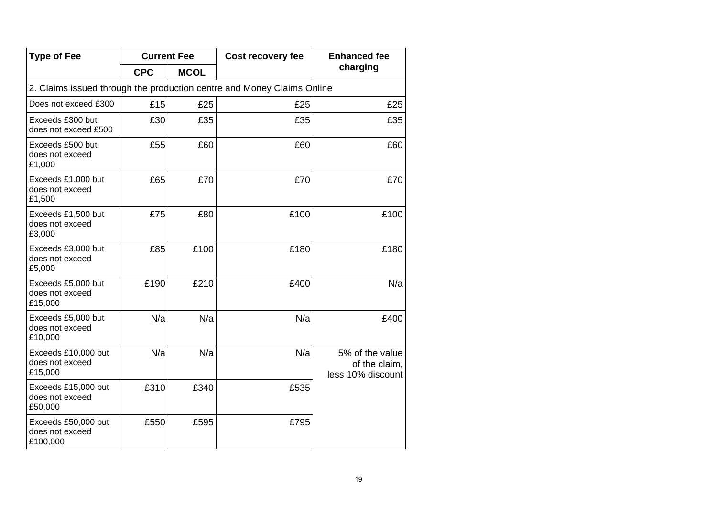| <b>Type of Fee</b>                                 | <b>Current Fee</b> |             | Cost recovery fee                                                      | <b>Enhanced fee</b>                                   |
|----------------------------------------------------|--------------------|-------------|------------------------------------------------------------------------|-------------------------------------------------------|
|                                                    | <b>CPC</b>         | <b>MCOL</b> |                                                                        | charging                                              |
|                                                    |                    |             | 2. Claims issued through the production centre and Money Claims Online |                                                       |
| Does not exceed £300                               | £15                | £25         | £25                                                                    | £25                                                   |
| Exceeds £300 but<br>does not exceed £500           | £30                | £35         | £35                                                                    | £35                                                   |
| Exceeds £500 but<br>does not exceed<br>£1,000      | £55                | £60         | £60                                                                    | £60                                                   |
| Exceeds £1,000 but<br>does not exceed<br>£1,500    | £65                | £70         | £70                                                                    | £70                                                   |
| Exceeds £1,500 but<br>does not exceed<br>£3,000    | £75                | £80         | £100                                                                   | £100                                                  |
| Exceeds £3,000 but<br>does not exceed<br>£5,000    | £85                | £100        | £180                                                                   | £180                                                  |
| Exceeds £5,000 but<br>does not exceed<br>£15,000   | £190               | £210        | £400                                                                   | N/a                                                   |
| Exceeds £5,000 but<br>does not exceed<br>£10,000   | N/a                | N/a         | N/a                                                                    | £400                                                  |
| Exceeds £10,000 but<br>does not exceed<br>£15,000  | N/a                | N/a         | N/a                                                                    | 5% of the value<br>of the claim,<br>less 10% discount |
| Exceeds £15,000 but<br>does not exceed<br>£50,000  | £310               | £340        | £535                                                                   |                                                       |
| Exceeds £50,000 but<br>does not exceed<br>£100,000 | £550               | £595        | £795                                                                   |                                                       |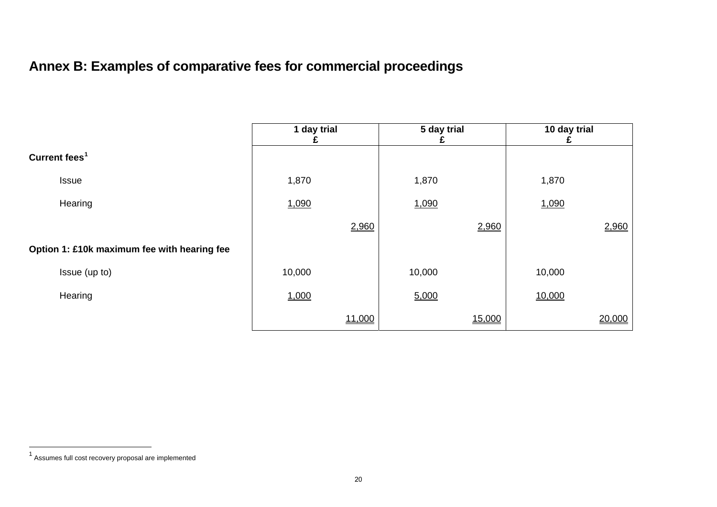# **Annex B: Examples of comparative fees for commercial proceedings**

|                                             | 1 day trial |        | 5 day trial |        | 10 day trial |        |
|---------------------------------------------|-------------|--------|-------------|--------|--------------|--------|
| Current fees <sup>1</sup>                   |             |        |             |        |              |        |
| <b>Issue</b>                                | 1,870       |        | 1,870       |        | 1,870        |        |
| Hearing                                     | 1,090       |        | 1,090       |        | 1,090        |        |
|                                             |             | 2,960  |             | 2,960  |              | 2,960  |
| Option 1: £10k maximum fee with hearing fee |             |        |             |        |              |        |
| Issue (up to)                               | 10,000      |        | 10,000      |        | 10,000       |        |
| Hearing                                     | 1,000       |        | 5,000       |        | 10,000       |        |
|                                             |             | 11,000 |             | 15,000 |              | 20,000 |

<span id="page-19-0"></span><sup>1</sup> Assumes full cost recovery proposal are implemented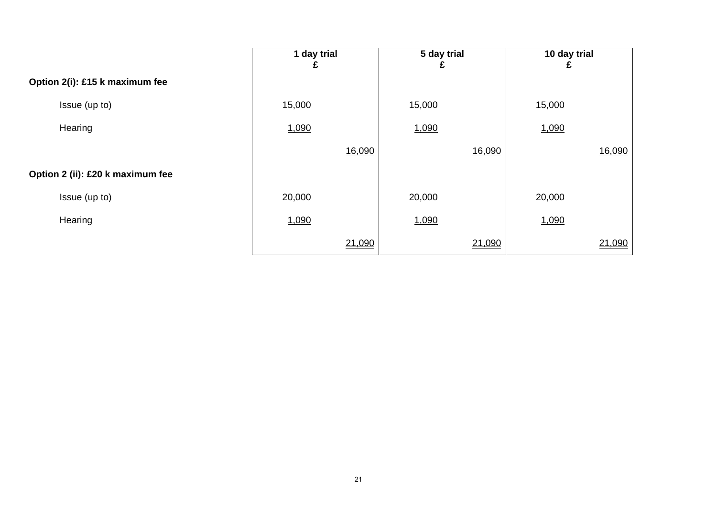|                                  | 1 day trial |        | 5 day trial |        | 10 day trial |        |
|----------------------------------|-------------|--------|-------------|--------|--------------|--------|
| Option 2(i): £15 k maximum fee   |             |        |             |        |              |        |
| Issue (up to)                    | 15,000      |        | 15,000      |        | 15,000       |        |
| Hearing                          | 1,090       |        | 1,090       |        | 1,090        |        |
|                                  |             | 16,090 |             | 16,090 |              | 16,090 |
| Option 2 (ii): £20 k maximum fee |             |        |             |        |              |        |
| Issue (up to)                    | 20,000      |        | 20,000      |        | 20,000       |        |
| Hearing                          | 1,090       |        | 1,090       |        | 1,090        |        |
|                                  |             | 21,090 |             | 21,090 |              | 21,090 |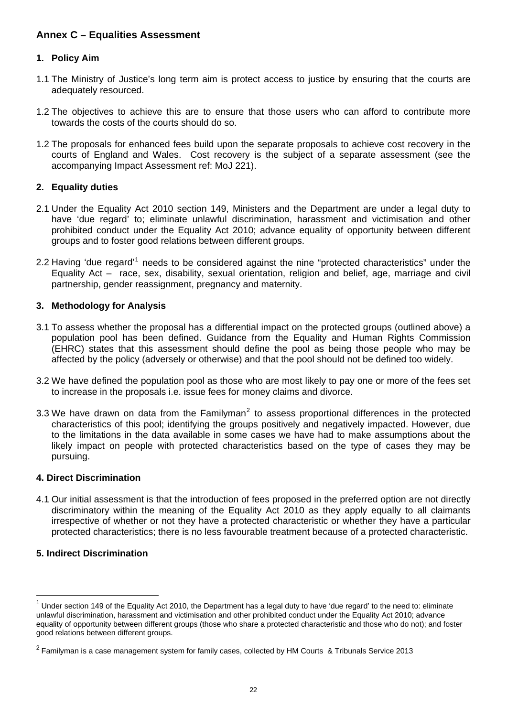## **Annex C – Equalities Assessment**

#### **1. Policy Aim**

- 1.1 The Ministry of Justice's long term aim is protect access to justice by ensuring that the courts are adequately resourced.
- 1.2 The objectives to achieve this are to ensure that those users who can afford to contribute more towards the costs of the courts should do so.
- 1.2 The proposals for enhanced fees build upon the separate proposals to achieve cost recovery in the courts of England and Wales. Cost recovery is the subject of a separate assessment (see the accompanying Impact Assessment ref: MoJ 221).

#### **2. Equality duties**

- 2.1 Under the Equality Act 2010 section 149, Ministers and the Department are under a legal duty to have 'due regard' to; eliminate unlawful discrimination, harassment and victimisation and other prohibited conduct under the Equality Act 2010; advance equality of opportunity between different groups and to foster good relations between different groups.
- 2.2 Having 'due regard'<sup>[1](#page-21-0)</sup> needs to be considered against the nine "protected characteristics" under the Equality Act – race, sex, disability, sexual orientation, religion and belief, age, marriage and civil partnership, gender reassignment, pregnancy and maternity.

#### **3. Methodology for Analysis**

- 3.1 To assess whether the proposal has a differential impact on the protected groups (outlined above) a population pool has been defined. Guidance from the Equality and Human Rights Commission (EHRC) states that this assessment should define the pool as being those people who may be affected by the policy (adversely or otherwise) and that the pool should not be defined too widely.
- 3.2 We have defined the population pool as those who are most likely to pay one or more of the fees set to increase in the proposals i.e. issue fees for money claims and divorce.
- 3.3 We have drawn on data from the Familyman<sup>[2](#page-21-1)</sup> to assess proportional differences in the protected characteristics of this pool; identifying the groups positively and negatively impacted. However, due to the limitations in the data available in some cases we have had to make assumptions about the likely impact on people with protected characteristics based on the type of cases they may be pursuing.

#### **4. Direct Discrimination**

4.1 Our initial assessment is that the introduction of fees proposed in the preferred option are not directly discriminatory within the meaning of the Equality Act 2010 as they apply equally to all claimants irrespective of whether or not they have a protected characteristic or whether they have a particular protected characteristics; there is no less favourable treatment because of a protected characteristic.

#### **5. Indirect Discrimination**

<span id="page-21-0"></span> $1$  Under section 149 of the Equality Act 2010, the Department has a legal duty to have 'due regard' to the need to: eliminate unlawful discrimination, harassment and victimisation and other prohibited conduct under the Equality Act 2010; advance equality of opportunity between different groups (those who share a protected characteristic and those who do not); and foster good relations between different groups.

<span id="page-21-1"></span> $2$  Familyman is a case management system for family cases, collected by HM Courts & Tribunals Service 2013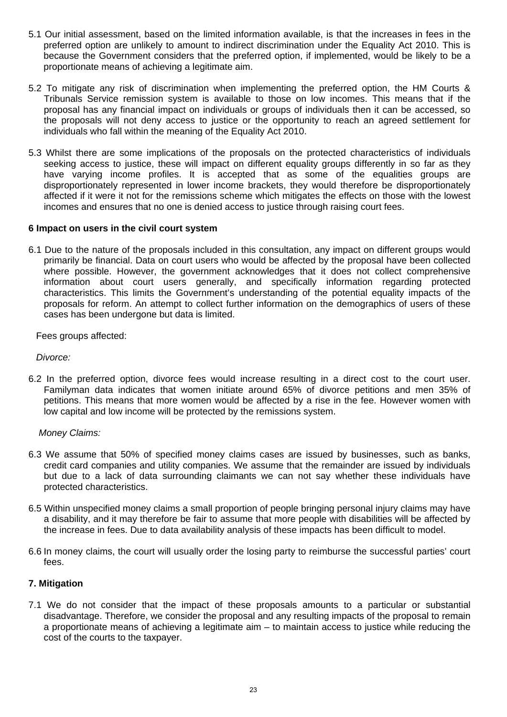- 5.1 Our initial assessment, based on the limited information available, is that the increases in fees in the preferred option are unlikely to amount to indirect discrimination under the Equality Act 2010. This is because the Government considers that the preferred option, if implemented, would be likely to be a proportionate means of achieving a legitimate aim.
- 5.2 To mitigate any risk of discrimination when implementing the preferred option, the HM Courts & Tribunals Service remission system is available to those on low incomes. This means that if the proposal has any financial impact on individuals or groups of individuals then it can be accessed, so the proposals will not deny access to justice or the opportunity to reach an agreed settlement for individuals who fall within the meaning of the Equality Act 2010.
- 5.3 Whilst there are some implications of the proposals on the protected characteristics of individuals seeking access to justice, these will impact on different equality groups differently in so far as they have varying income profiles. It is accepted that as some of the equalities groups are disproportionately represented in lower income brackets, they would therefore be disproportionately affected if it were it not for the remissions scheme which mitigates the effects on those with the lowest incomes and ensures that no one is denied access to justice through raising court fees.

#### **6 Impact on users in the civil court system**

6.1 Due to the nature of the proposals included in this consultation, any impact on different groups would primarily be financial. Data on court users who would be affected by the proposal have been collected where possible. However, the government acknowledges that it does not collect comprehensive information about court users generally, and specifically information regarding protected characteristics. This limits the Government's understanding of the potential equality impacts of the proposals for reform. An attempt to collect further information on the demographics of users of these cases has been undergone but data is limited.

Fees groups affected:

*Divorce:* 

6.2 In the preferred option, divorce fees would increase resulting in a direct cost to the court user. Familyman data indicates that women initiate around 65% of divorce petitions and men 35% of petitions. This means that more women would be affected by a rise in the fee. However women with low capital and low income will be protected by the remissions system.

#### *Money Claims:*

- 6.3 We assume that 50% of specified money claims cases are issued by businesses, such as banks, credit card companies and utility companies. We assume that the remainder are issued by individuals but due to a lack of data surrounding claimants we can not say whether these individuals have protected characteristics.
- 6.5 Within unspecified money claims a small proportion of people bringing personal injury claims may have a disability, and it may therefore be fair to assume that more people with disabilities will be affected by the increase in fees. Due to data availability analysis of these impacts has been difficult to model.
- 6.6 In money claims, the court will usually order the losing party to reimburse the successful parties' court fees.

#### **7. Mitigation**

7.1 We do not consider that the impact of these proposals amounts to a particular or substantial disadvantage. Therefore, we consider the proposal and any resulting impacts of the proposal to remain a proportionate means of achieving a legitimate aim – to maintain access to justice while reducing the cost of the courts to the taxpayer.